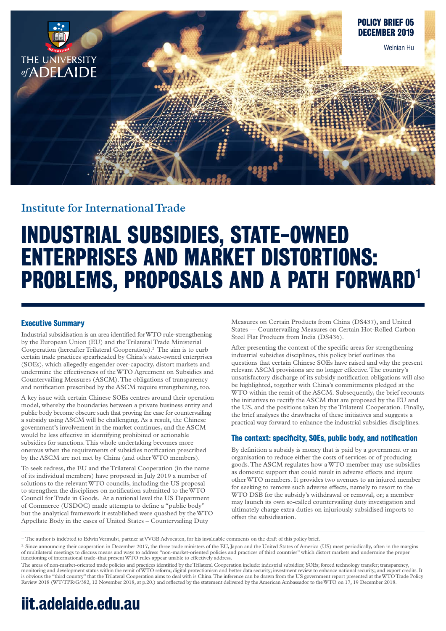

## **Institute for International Trade**

# **INDUSTRIAL SUBSIDIES, STATE-OWNED ENTERPRISES AND MARKET DISTORTIONS: PROBLEMS, PROPOSALS AND A PATH FORWARD1**

## **Executive Summary**

Industrial subsidisation is an area identified for WTO rule-strengthening by the European Union (EU) and the Trilateral Trade Ministerial Cooperation (hereafter Trilateral Cooperation).2 The aim is to curb certain trade practices spearheaded by China's state-owned enterprises (SOEs), which allegedly engender over-capacity, distort markets and undermine the effectiveness of the WTO Agreement on Subsidies and Countervailing Measures (ASCM). The obligations of transparency and notification prescribed by the ASCM require strengthening, too.

A key issue with certain Chinese SOEs centres around their operation model, whereby the boundaries between a private business entity and public body become obscure such that proving the case for countervailing a subsidy using ASCM will be challenging. As a result, the Chinese government's involvement in the market continues, and the ASCM would be less effective in identifying prohibited or actionable subsidies for sanctions. This whole undertaking becomes more onerous when the requirements of subsidies notification prescribed by the ASCM are not met by China (and other WTO members).

To seek redress, the EU and the Trilateral Cooperation (in the name of its individual members) have proposed in July 2019 a number of solutions to the relevant WTO councils, including the US proposal to strengthen the disciplines on notification submitted to the WTO Council for Trade in Goods. At a national level the US Department of Commerce (USDOC) made attempts to define a "public body" but the analytical framework it established were quashed by the WTO Appellate Body in the cases of United States – Countervailing Duty

Measures on Certain Products from China (DS437), and United States — Countervailing Measures on Certain Hot-Rolled Carbon Steel Flat Products from India (DS436).

After presenting the context of the specific areas for strengthening industrial subsidies disciplines, this policy brief outlines the questions that certain Chinese SOEs have raised and why the present relevant ASCM provisions are no longer effective. The country's unsatisfactory discharge of its subsidy notification obligations will also be highlighted, together with China's commitments pledged at the WTO within the remit of the ASCM. Subsequently, the brief recounts the initiatives to rectify the ASCM that are proposed by the EU and the US, and the positions taken by the Trilateral Cooperation. Finally, the brief analyses the drawbacks of these initiatives and suggests a practical way forward to enhance the industrial subsidies disciplines.

### **The context: specificity, SOEs, public body, and notification**

By definition a subsidy is money that is paid by a government or an organisation to reduce either the costs of services or of producing goods. The ASCM regulates how a WTO member may use subsidies as domestic support that could result in adverse effects and injure other WTO members. It provides two avenues to an injured member for seeking to remove such adverse effects, namely to resort to the WTO DSB for the subsidy's withdrawal or removal, or; a member may launch its own so-called countervailing duty investigation and ultimately charge extra duties on injuriously subsidised imports to offset the subsidisation.

## **iit.adelaide.edu.au**

<sup>1.</sup> The author is indebted to Edwin Vermulst, partner at VVGB Advocaten, for his invaluable comments on the draft of this policy brief.

<sup>&</sup>lt;sup>2.</sup> Since announcing their cooperation in December 2017, the three trade ministers of the EU, Japan and the United States of America (US) meet periodically, often in the margins of multilateral meetings to discuss means and ways to address "non-market-oriented policies and practices of third countries" which distort markets and undermine the proper<br>functioning of international trade–that present W

The areas of non-market-oriented trade policies and practices identified by the Trilateral Cooperation include: industrial subsidies; SOEs; forced technology transfer; transparency, monitoring and development status within the remit of WTO reform; digital protectionism and better data security; investment review to enhance national security; and export credits. It is obvious the "third country" that the Trilateral Cooperation aims to deal with is China. The inference can be drawn from the US government report presented at the WTO Trade Policy Review 2018 (WT/TPR/G/382, 12 November 2018, at p.20.) and reflected by the statement delivered by the American Ambassador to the WTO on 17, 19 December 2018.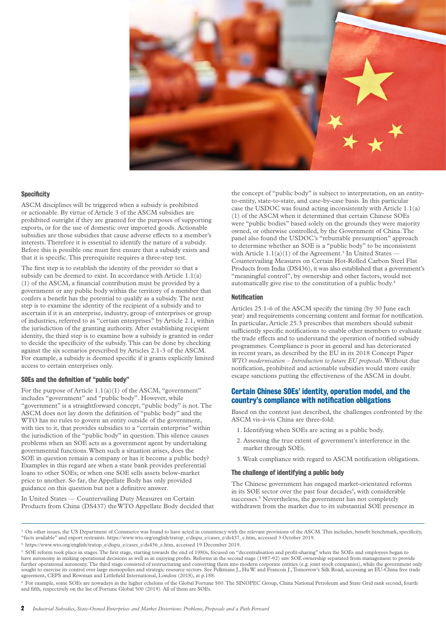

#### **Specificity**

ASCM disciplines will be triggered when a subsidy is prohibited or actionable. By virtue of Article 3 of the ASCM subsidies are prohibited outright if they are granted for the purposes of supporting exports, or for the use of domestic over imported goods. Actionable subsidies are those subsidies that cause adverse effects to a member's interests. Therefore it is essential to identify the nature of a subsidy. Before this is possible one must first ensure that a subsidy exists and that it is specific. This prerequisite requires a three-step test.

The first step is to establish the identity of the provider so that a subsidy can be deemed to exist. In accordance with Article 1.1(a) (1) of the ASCM, a financial contribution must be provided by a government or any public body within the territory of a member that confers a benefit has the potential to qualify as a subsidy. The next step is to examine the identity of the recipient of a subsidy and to ascertain if it is an enterprise, industry, group of enterprises or group of industries, referred to as "certain enterprises" by Article 2.1, within the jurisdiction of the granting authority. After establishing recipient identity, the third step is to examine how a subsidy is granted in order to decide the specificity of the subsidy. This can be done by checking against the six scenarios prescribed by Articles 2.1-3 of the ASCM. For example, a subsidy is deemed specific if it grants explicitly limited access to certain enterprises only.

#### **SOEs and the definition of "public body"**

For the purpose of Article 1.1(a)(1) of the ASCM, "government" includes "government" and "public body". However, while "government" is a straightforward concept, "public body" is not. The ASCM does not lay down the definition of "public body" and the WTO has no rules to govern an entity outside of the government, with ties to it, that provides subsidies to a "certain enterprise" within the jurisdiction of the "public body" in question. This silence causes problems when an SOE acts as a government agent by undertaking governmental functions. When such a situation arises, does the SOE in question remain a company or has it become a public body? Examples in this regard are when a state bank provides preferential loans to other SOEs; or when one SOE sells assets below-market price to another. So far, the Appellate Body has only provided guidance on this question but not a definitive answer.

In United States — Countervailing Duty Measures on Certain Products from China (DS437) the WTO Appellate Body decided that

the concept of "public body" is subject to interpretation, on an entityto-entity, state-to-state, and case-by-case basis. In this particular case the USDOC was found acting inconsistently with Article 1.1(a) (1) of the ASCM when it determined that certain Chinese SOEs were "public bodies" based solely on the grounds they were majority owned, or otherwise controlled, by the Government of China. The panel also found the USDOC's "rebuttable presumption" approach to determine whether an SOE is a "public body" to be inconsistent with Article  $1.1(a)(1)$  of the Agreement.<sup>3</sup> In United States — Countervailing Measures on Certain Hot-Rolled Carbon Steel Flat Products from India (DS436), it was also established that a government's "meaningful control", by ownership and other factors, would not automatically give rise to the constitution of a public body.4

#### **Notification**

Articles 25.1-6 of the ASCM specify the timing (by 30 June each year) and requirements concerning content and format for notification. In particular, Article 25.3 prescribes that members should submit sufficiently specific notifications to enable other members to evaluate the trade effects and to understand the operation of notified subsidy programmes. Compliance is poor in general and has deteriorated in recent years, as described by the EU in its 2018 Concept Paper *WTO modernisation – Introduction to future EU proposals*. Without due notification, prohibited and actionable subsidies would more easily escape sanctions putting the effectiveness of the ASCM in doubt.

#### **Certain Chinese SOEs' identity, operation model, and the country's compliance with notification obligations**

Based on the context just described, the challenges confronted by the ASCM vis-à-vis China are three-fold:

- 1. Identifying when SOEs are acting as a public body.
- 2. Assessing the true extent of government's interference in the market through SOEs.
- 3. Weak compliance with regard to ASCM notification obligations.

#### **The challenge of identifying a public body**

The Chinese government has engaged market-orientated reforms in its SOE sector over the past four decades<sup>5</sup>, with considerable successes.<sup>6</sup> Nevertheless, the government has not completely withdrawn from the market due to its substantial SOE presence in

<sup>&</sup>lt;sup>3.</sup> On other issues, the US Department of Commerce was found to have acted in consistency with the relevant provisions of the ASCM. This includes, benefit benchmark, specificity, "facts available" and export restraints. https://www.wto.org/english/tratop\_e/dispu\_e/cases\_e/ds437\_e.htm, accessed 3 October 2019.

<sup>4.</sup> https://www.wto.org/english/tratop\_e/dispu\_e/cases\_e/ds436\_e.htm, accessed 19 December 2019.

<sup>5.</sup> SOE reform took place in stages. The first stage, starting towards the end of 1980s, focused on "decentralisation and profit-sharing" when the SOEs and employees began to have autonomy in making operational decisions as well as in enjoying profits. Reforms in the second stage (1987-92) saw SOE ownership separated from management to provide further operational autonomy. The third stage consisted of restructuring and converting them into modern corporate entities (e.g. joint stock companies), while the government only sought to exercise its control over large monopolies and strategic resource sectors. See Pelkmans J., Hu W. and Francois J., Tomorrow's Silk Road, accessing an EU-China free trade agreement, CEPS and Rowman and Littlefield International, London (2018), at p.188.

<sup>6.</sup> For example, some SOEs are nowadays in the higher echelons of the Global Fortune 500. The SINOPEC Group, China National Petroleum and State Grid rank second, fourth and fifth, respectively on the list of Fortune Global 500 (2019). All of them are SOEs.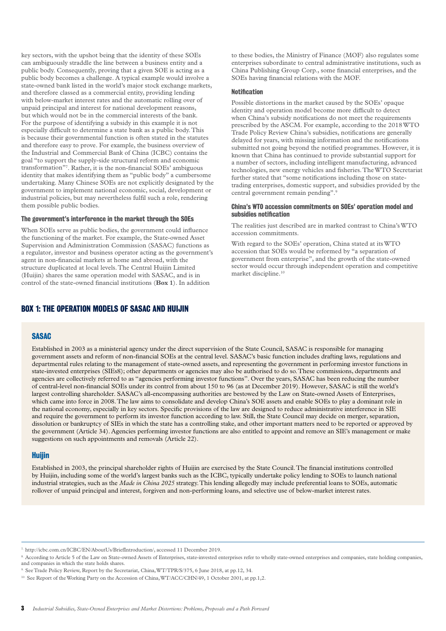key sectors, with the upshot being that the identity of these SOEs can ambiguously straddle the line between a business entity and a public body. Consequently, proving that a given SOE is acting as a public body becomes a challenge. A typical example would involve a state-owned bank listed in the world's major stock exchange markets, and therefore classed as a commercial entity, providing lending with below-market interest rates and the automatic rolling over of unpaid principal and interest for national development reasons, but which would not be in the commercial interests of the bank. For the purpose of identifying a subsidy in this example it is not especially difficult to determine a state bank as a public body. This is because their governmental function is often stated in the statutes and therefore easy to prove. For example, the business overview of the Industrial and Commercial Bank of China (ICBC) contains the goal "to support the supply-side structural reform and economic transformation"7 . Rather, it is the non-financial SOEs' ambiguous identity that makes identifying them as "public body" a cumbersome undertaking. Many Chinese SOEs are not explicitly designated by the government to implement national economic, social, development or industrial policies, but may nevertheless fulfil such a role, rendering them possible public bodies.

#### **The government's interference in the market through the SOEs**

When SOEs serve as public bodies, the government could influence the functioning of the market. For example, the State-owned Asset Supervision and Administration Commission (SASAC) functions as a regulator, investor and business operator acting as the government's agent in non-financial markets at home and abroad, with the structure duplicated at local levels. The Central Huijin Limited (Huijin) shares the same operation model with SASAC, and is in control of the state-owned financial institutions (**Box 1**). In addition

## **BOX 1: THE OPERATION MODELS OF SASAC AND HUIJIN**

to these bodies, the Ministry of Finance (MOF) also regulates some enterprises subordinate to central administrative institutions, such as China Publishing Group Corp., some financial enterprises, and the SOEs having financial relations with the MOF.

#### **Notification**

Possible distortions in the market caused by the SOEs' opaque identity and operation model become more difficult to detect when China's subsidy notifications do not meet the requirements prescribed by the ASCM. For example, according to the 2018 WTO Trade Policy Review China's subsidies, notifications are generally delayed for years, with missing information and the notifications submitted not going beyond the notified programmes. However, it is known that China has continued to provide substantial support for a number of sectors, including intelligent manufacturing, advanced technologies, new energy vehicles and fisheries. The WTO Secretariat further stated that "some notifications including those on statetrading enterprises, domestic support, and subsidies provided by the central government remain pending".9

#### **China's WTO accession commitments on SOEs' operation model and subsidies notification**

The realities just described are in marked contrast to China's WTO accession commitments.

With regard to the SOEs' operation, China stated at its WTO accession that SOEs would be reformed by "a separation of government from enterprise", and the growth of the state-owned sector would occur through independent operation and competitive market discipline.<sup>10</sup>

#### **SASAC**

Established in 2003 as a ministerial agency under the direct supervision of the State Council, SASAC is responsible for managing government assets and reform of non-financial SOEs at the central level. SASAC's basic function includes drafting laws, regulations and departmental rules relating to the management of state-owned assets, and representing the government in performing investor functions in state-invested enterprises (SIEs8); other departments or agencies may also be authorised to do so. These commissions, departments and agencies are collectively referred to as "agencies performing investor functions". Over the years, SASAC has been reducing the number of central-level non-financial SOEs under its control from about 150 to 96 (as at December 2019). However, SASAC is still the world's largest controlling shareholder. SASAC's all-encompassing authorities are bestowed by the Law on State-owned Assets of Enterprises, which came into force in 2008. The law aims to consolidate and develop China's SOE assets and enable SOEs to play a dominant role in the national economy, especially in key sectors. Specific provisions of the law are designed to reduce administrative interference in SIE and require the government to perform its investor function according to law. Still, the State Council may decide on merger, separation, dissolution or bankruptcy of SIEs in which the state has a controlling stake, and other important matters need to be reported or approved by the government (Article 34). Agencies performing investor functions are also entitled to appoint and remove an SIE's management or make suggestions on such appointments and removals (Article 22).

#### **Huijin**

Established in 2003, the principal shareholder rights of Huijin are exercised by the State Council. The financial institutions controlled by Huijin, including some of the world's largest banks such as the ICBC, typically undertake policy lending to SOEs to launch national industrial strategies, such as the *Made in China 2025* strategy. This lending allegedly may include preferential loans to SOEs, automatic rollover of unpaid principal and interest, forgiven and non-performing loans, and selective use of below-market interest rates.

<sup>7.</sup> http://icbc.com.cn/ICBC/EN/AboutUs/BriefIntroduction/, accessed 11 December 2019.

<sup>8.</sup> According to Article 5 of the Law on State-owned Assets of Enterprises, state-invested enterprises refer to wholly state-owned enterprises and companies, state holding companies, and companies in which the state holds shares.

<sup>9.</sup> See Trade Policy Review, Report by the Secretariat, China, WT/TPR/S/375, 6 June 2018, at pp.12, 34.

<sup>&</sup>lt;sup>10.</sup> See Report of the Working Party on the Accession of China, WT/ACC/CHN/49, 1 October 2001, at pp.1,2.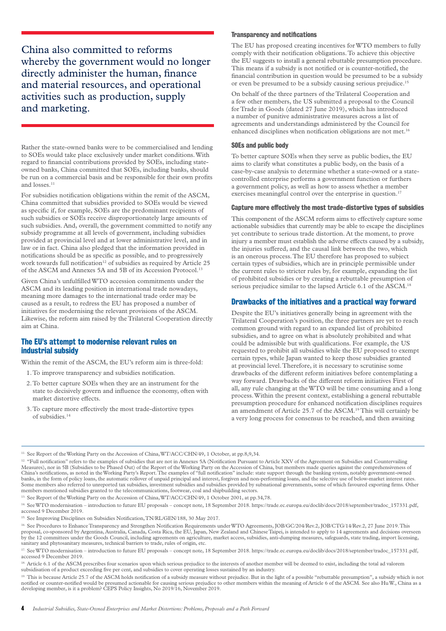China also committed to reforms whereby the government would no longer directly administer the human, finance and material resources, and operational activities such as production, supply and marketing.

Rather the state-owned banks were to be commercialised and lending to SOEs would take place exclusively under market conditions. With regard to financial contributions provided by SOEs, including stateowned banks, China committed that SOEs, including banks, should be run on a commercial basis and be responsible for their own profits and losses.<sup>11</sup>

For subsidies notification obligations within the remit of the ASCM, China committed that subsidies provided to SOEs would be viewed as specific if, for example, SOEs are the predominant recipients of such subsidies or SOEs receive disproportionately large amounts of such subsidies. And, overall, the government committed to notify any subsidy programme at all levels of government, including subsidies provided at provincial level and at lower administrative level, and in law or in fact. China also pledged that the information provided in notifications should be as specific as possible, and to progressively work towards full notification<sup>12</sup> of subsidies as required by Article  $25$ of the ASCM and Annexes 5A and 5B of its Accession Protocol.<sup>1</sup>

Given China's unfulfilled WTO accession commitments under the ASCM and its leading position in international trade nowadays, meaning more damages to the international trade order may be caused as a result, to redress the EU has proposed a number of initiatives for modernising the relevant provisions of the ASCM. Likewise, the reform aim raised by the Trilateral Cooperation directly aim at China.

## **The EU's attempt to modernise relevant rules on industrial subsidy**

Within the remit of the ASCM, the EU's reform aim is three-fold:

- 1. To improve transparency and subsidies notification.
- 2. To better capture SOEs when they are an instrument for the state to decisively govern and influence the economy, often with market distortive effects.
- 3. To capture more effectively the most trade-distortive types of subsidies.14

#### **Transparency and notifications**

The EU has proposed creating incentives for WTO members to fully comply with their notification obligations. To achieve this objective the EU suggests to install a general rebuttable presumption procedure. This means if a subsidy is not notified or is counter-notified, the financial contribution in question would be presumed to be a subsidy or even be presumed to be a subsidy causing serious prejudice.15

On behalf of the three partners of the Trilateral Cooperation and a few other members, the US submitted a proposal to the Council for Trade in Goods (dated 27 June 2019), which has introduced a number of punitive administrative measures across a list of agreements and understandings administered by the Council for enhanced disciplines when notification obligations are not met.<sup>16</sup>

#### **SOEs and public body**

To better capture SOEs when they serve as public bodies, the EU aims to clarify what constitutes a public body, on the basis of a case-by-case analysis to determine whether a state-owned or a statecontrolled enterprise performs a government function or furthers a government policy, as well as how to assess whether a member exercises meaningful control over the enterprise in question.<sup>17</sup>

#### **Capture more effectively the most trade-distortive types of subsidies**

This component of the ASCM reform aims to effectively capture some actionable subsidies that currently may be able to escape the disciplines yet contribute to serious trade distortion. At the moment, to prove injury a member must establish the adverse effects caused by a subsidy, the injuries suffered, and the causal link between the two, which is an onerous process. The EU therefore has proposed to subject certain types of subsidies, which are in principle permissible under the current rules to stricter rules by, for example, expanding the list of prohibited subsidies or by creating a rebuttable presumption of serious prejudice similar to the lapsed Article 6.1 of the ASCM.<sup>1</sup>

#### **Drawbacks of the initiatives and a practical way forward**

Despite the EU's initiatives generally being in agreement with the Trilateral Cooperation's position, the three partners are yet to reach common ground with regard to an expanded list of prohibited subsidies, and to agree on what is absolutely prohibited and what could be admissible but with qualifications. For example, the US requested to prohibit all subsidies while the EU proposed to exempt certain types, while Japan wanted to keep those subsidies granted at provincial level. Therefore, it is necessary to scrutinise some drawbacks of the different reform initiatives before contemplating a way forward. Drawbacks of the different reform initiatives First of all, any rule changing at the WTO will be time consuming and a long process. Within the present context, establishing a general rebuttable presumption procedure for enhanced notification disciplines requires an amendment of Article 25.7 of the ASCM.<sup>19</sup> This will certainly be a very long process for consensus to be reached, and then awaiting

<sup>13.</sup> See Report of the Working Party on the Accession of China, WT/ACC/CHN/49, 1 October 2001, at pp.34,78.

<sup>&</sup>lt;sup>11.</sup> See Report of the Working Party on the Accession of China, WT/ACC/CHN/49, 1 October, at pp.8,9,34.

<sup>12. &</sup>quot;Full notification" refers to the examples of subsidies that are not in Annexes 5A (Notification Pursuant to Article XXV of the Agreement on Subsidies and Countervailing Measures), nor in 5B (Subsidies to be Phased Out) of the Report of the Working Party on the Accession of China, but members made queries against the comprehensiveness of China's notifications, as noted in the Working Party's Report. The examples of "full notification" include: state support through the banking system, notably government-owned banks, in the form of policy loans, the automatic rollover of unpaid principal and interest, forgiven and non-performing loans, and the selective use of below-market interest rates. Some members also referred to unreported tax subsidies, investment subsidies and subsidies provided by subnational governments, some of which favoured exporting firms. Other members mentioned subsidies granted to the telec

<sup>14.</sup> See WTO modernisation – introduction to future EU proposals – concept note, 18 September 2018. https://trade.ec.europa.eu/doclib/docs/2018/september/tradoc\_157331.pdf, accessed 9 December 2019.

<sup>&</sup>lt;sup>15.</sup> See Improving Disciplines on Subsidies Notification, TN/RL/GEN/188, 30 May 2017.

<sup>16.</sup> See Procedures to Enhance Transparency and Strengthen Notification Requirements under WTO Agreements, JOB/GC/204/Rev.2, JOB/CTG/14/Rev.2, 27 June 2019. This proposal, co-sponsored by Argentina, Australia, Canada, Costa Rica, the EU, Japan, New Zealand and Chinese Taipei, is intended to apply to 14 agreements and decisions overseen by the 12 committees under the Goods Council, including agreements on agriculture, market access, subsidies, anti-dumping measures, safeguards, state trading, import licensing, sanitary and phytosanitary measures, technical barriers to trade, rules of origin, etc.

<sup>17.</sup> See WTO modernisation – introduction to future EU proposals – concept note, 18 September 2018. https://trade.ec.europa.eu/doclib/docs/2018/september/tradoc\_157331.pdf, accessed 9 December 2019.

<sup>&</sup>lt;sup>18</sup> Article 6.1 of the ASCM prescribes four scenarios upon which serious prejudice to the interests of another member will be deemed to exist, including the total ad valorem subsidisation of a product exceeding five per cent, and subsidies to cover operating losses sustained by an industry.

<sup>&</sup>lt;sup>19.</sup> This is because Article 25.7 of the ASCM holds notification of a subsidy measure without prejudice. But in the light of a possible "rebuttable presumption", a subsidy which is not notified or counter-notified would be presumed actionable for causing serious prejudice to other members within the meaning of Article 6 of the ASCM. See also Hu W., China as a developing member, is it a problem? CEPS Policy Insights, No 2019/16, November 2019.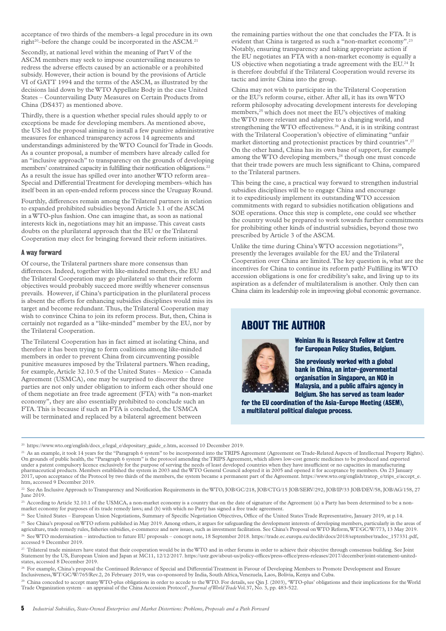acceptance of two thirds of the members–a legal procedure in its own right<sup>20</sup>-before the change could be incorporated in the ASCM.<sup>21</sup>

Secondly, at national level within the meaning of Part V of the ASCM members may seek to impose countervailing measures to redress the adverse effects caused by an actionable or a prohibited subsidy. However, their action is bound by the provisions of Article VI of GATT 1994 and the terms of the ASCM, as illustrated by the decisions laid down by the WTO Appellate Body in the case United States – Countervailing Duty Measures on Certain Products from China (DS437) as mentioned above.

Thirdly, there is a question whether special rules should apply to or exceptions be made for developing members. As mentioned above, the US led the proposal aiming to install a few punitive administrative measures for enhanced transparency across 14 agreements and understandings administered by the WTO Council for Trade in Goods. As a counter proposal, a number of members have already called for an "inclusive approach" to transparency on the grounds of developing members' constrained capacity in fulfilling their notification obligations.22 As a result the issue has spilled over into another WTO reform area– Special and Differential Treatment for developing members–which has itself been in an open-ended reform process since the Uruguay Round.

Fourthly, differences remain among the Trilateral partners in relation to expanded prohibited subsidies beyond Article 3.1 of the ASCM in a WTO-plus fashion. One can imagine that, as soon as national interests kick in, negotiations may hit an impasse. This caveat casts doubts on the plurilateral approach that the EU or the Trilateral Cooperation may elect for bringing forward their reform initiatives.

#### **A way forward**

Of course, the Trilateral partners share more consensus than differences. Indeed, together with like-minded members, the EU and the Trilateral Cooperation may go plurilateral so that their reform objectives would probably succeed more swiftly whenever consensus prevails. However, if China's participation in the plurilateral process is absent the efforts for enhancing subsidies disciplines would miss its target and become redundant. Thus, the Trilateral Cooperation may wish to convince China to join its reform process. But, then, China is certainly not regarded as a "like-minded" member by the EU, nor by the Trilateral Cooperation.

The Trilateral Cooperation has in fact aimed at isolating China, and therefore it has been trying to form coalitions among like-minded members in order to prevent China from circumventing possible punitive measures imposed by the Trilateral partners. When reading, for example, Article 32.10.5 of the United States – Mexico – Canada Agreement (USMCA), one may be surprised to discover the three parties are not only under obligation to inform each other should one of them negotiate an free trade agreement (FTA) with "a non-market economy", they are also essentially prohibited to conclude such an FTA. This is because if such an FTA is concluded, the USMCA will be terminated and replaced by a bilateral agreement between

the remaining parties without the one that concludes the FTA. It is evident that China is targeted as such a "non-market economy".23 Notably, ensuring transparency and taking appropriate action if the EU negotiates an FTA with a non-market economy is equally a US objective when negotiating a trade agreement with the EU.<sup>24</sup> It is therefore doubtful if the Trilateral Cooperation would reverse its tactic and invite China into the group.

China may not wish to participate in the Trilateral Cooperation or the EU's reform course, either. After all, it has its own WTO reform philosophy advocating development interests for developing members,25 which does not meet the EU's objectives of making the WTO more relevant and adaptive to a changing world, and strengthening the WTO effectiveness.<sup>26</sup> And, it is in striking contrast with the Trilateral Cooperation's objective of eliminating "unfair market distorting and protectionist practices by third countries".27 On the other hand, China has its own base of support, for example among the WTO developing members,<sup>28</sup> though one must concede that their trade powers are much less significant to China, compared to the Trilateral partners.

This being the case, a practical way forward to strengthen industrial subsidies disciplines will be to engage China and encourage it to expeditiously implement its outstanding WTO accession commitments with regard to subsidies notification obligations and SOE operations. Once this step is complete, one could see whether the country would be prepared to work towards further commitments for prohibiting other kinds of industrial subsidies, beyond those two prescribed by Article 3 of the ASCM.

Unlike the time during China's WTO accession negotiations<sup>29</sup>, presently the leverages available for the EU and the Trilateral Cooperation over China are limited. The key question is, what are the incentives for China to continue its reform path? Fulfilling its WTO accession obligations is one for credibility's sake, and living up to its aspiration as a defender of multilateralism is another. Only then can China claim its leadership role in improving global economic governance.

## **ABOUT THE AUTHOR**



**Weinian Hu is Research Fellow at Centre for European Policy Studies, Belgium.**

**She previously worked with a global bank in China, an inter-governmental organisation in Singapore, an NGO in Malaysia, and a public affairs agency in Belgium. She has served as team leader** 

**for the EU coordination of the Asia-Europe Meeting (ASEM), a multilateral political dialogue process.**

<sup>28.</sup> For example, China's proposal the Continued Relevance of Special and Differential Treatment in Favour of Developing Members to Promote Development and Ensure<br>Inclusiveness,WT/GC/W/765/Rev.2, 26 February 2019, was co-

<sup>29.</sup> China conceded to accept many WTO-plus obligations in order to accede to the WTO. For details, see Qin J. (2003), 'WTO-plus' obligations and their implications for the World Trade Organization system – an appraisal of the China Accession Protocol', *Journal of World Trade* Vol.37, No. 3, pp. 483-522.

<sup>20.</sup> https://www.wto.org/english/docs\_e/legal\_e/depositary\_guide\_e.htm, accessed 10 December 2019.

<sup>&</sup>lt;sup>21.</sup> As an example, it took 14 years for the "Paragraph 6 system" to be incorporated into the TRIPS Agreement (Agreement on Trade-Related Aspects of Intellectual Property Rights).<br>On grounds of public health, the "Paragra under a patent compulsory licence exclusively for the purpose of serving the needs of least developed countries when they have insufficient or no capacities in manufacturing pharmaceutical products. Members established the system in 2003 and the WTO General Council adopted it in 2005 and opened it for acceptance by members. On 23 January 2017, upon acceptance of the Protocol by two thirds of the members, the system became a permanent part of the Agreement. https://www.wto.org/english/tratop\_e/trips\_e/accept\_e.<br>htm, accessed 9 December 2019.

<sup>&</sup>lt;sup>22.</sup> See An Inclusive Approach to Transparency and Notification Requirements in the WTO, JOB/GC/218, JOB/CTG/15 JOB/SERV/292, JOB/IP/33 JOB/DEV/58, JOB/AG/158, 27 June 2019.

<sup>&</sup>lt;sup>23.</sup> According to Article 32.10.1 of the USMCA, a non-market economy is a country that on the date of signature of the Agreement (a) a Party has been determined to be a nonmarket economy for purposes of its trade remedy laws; and (b) with which no Party has signed a free trade agreement.

<sup>&</sup>lt;sup>24.</sup> See United States – European Union Negotiations, Summary of Specific Negotiation Objectives, Office of the United States Trade Representative, January 2019, at p.14.

<sup>&</sup>lt;sup>25</sup>. See China's proposal on WTO reform published in May 2019. Among others, it argues for safeguarding the development interests of developing members, particularly in the areas of agriculture, trade remedy rules, fisheries subsidies, e-commerce and new issues, such as investment facilitation. See China's Proposal on WTO Reform, WT/GC/W/773, 13 May 2019.

<sup>26.</sup> See WTO modernisation – introduction to future EU proposals – concept note, 18 September 2018. https://trade.ec.europa.eu/doclib/docs/2018/september/tradoc\_157331.pdf, accessed 9 December 2019.

<sup>&</sup>lt;sup>27.</sup> Trilateral trade ministers have stated that their cooperation would be in the WTO and in other forums in order to achieve their objective through consensus building. See Joint<br>Statement by the US, European Union and states, accessed 8 December 2019.